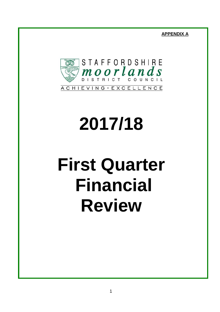**APPENDIX A**



# **2017/18**

# **First Quarter Financial Review**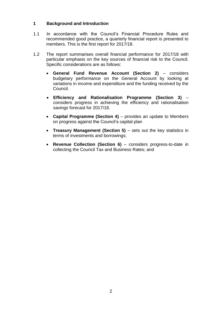# **1 Background and Introduction**

- 1.1 In accordance with the Council's Financial Procedure Rules and recommended good practice, a quarterly financial report is presented to members. This is the first report for 2017/18.
- 1.2 The report summarises overall financial performance for 2017/18 with particular emphasis on the key sources of financial risk to the Council. Specific considerations are as follows:
	- **General Fund Revenue Account (Section 2)** considers budgetary performance on the General Account by looking at variations in income and expenditure and the funding received by the Council.
	- **Efficiency and Rationalisation Programme (Section 3)**  considers progress in achieving the efficiency and rationalisation savings forecast for 2017/18.
	- Capital Programme (Section 4) provides an update to Members on progress against the Council's capital plan
	- **Treasury Management (Section 5) sets out the key statistics in** terms of investments and borrowings;
	- **Revenue Collection (Section 6)**  considers progress-to-date in collecting the Council Tax and Business Rates; and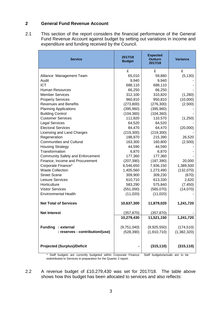# **2 General Fund Revenue Account**

2.1 This section of the report considers the financial performance of the General Fund Revenue Account against budget by setting out variations in income and expenditure and funding received by the Council.

| <b>Service</b>                          | 2017/18<br><b>Budget</b> | <b>Expected</b><br>Outturn<br>2017/18 | <b>Variance</b> |
|-----------------------------------------|--------------------------|---------------------------------------|-----------------|
|                                         | £                        | £                                     | £               |
| Alliance Management Team                | 65,010                   | 59,880                                | (5, 130)        |
| Audit                                   | 9,940                    | 9,940                                 |                 |
| <b>ICT</b>                              | 688,110                  | 688,110                               |                 |
| <b>Human Resources</b>                  | 66,250                   | 66,250                                |                 |
| <b>Member Services</b>                  | 312,100                  | 310,820                               | (1,280)         |
| <b>Property Services</b>                | 960,810                  | 950,810                               | (10,000)        |
| <b>Revenues and Benefits</b>            | (273, 800)               | (276, 300)                            | (2,500)         |
| <b>Planning Applications</b>            | (395, 960)               | (395, 960)                            |                 |
| <b>Building Control</b>                 | (104, 360)               | (104, 360)                            |                 |
| <b>Customer Services</b>                | 111,820                  | 110,570                               | (1,250)         |
| <b>Legal Services</b>                   | 64,520                   | 64,520                                |                 |
| <b>Electoral Services</b>               | 84,470                   | 64,470                                | (20,000)        |
| Licensing and Land Charges              | (219, 300)               | (219, 300)                            |                 |
| Regeneration                            | 188,870                  | 215,390                               | 26,520          |
| <b>Communities and Cultural</b>         | 163,300                  | 160,800                               | (2,500)         |
| <b>Housing Strategy</b>                 | 44,590                   | 44,590                                |                 |
| Transformation                          | 6,870                    | 6,870                                 |                 |
| <b>Community Safety and Enforcement</b> | 177,360                  | 177,360                               |                 |
| Finance, Income and Procurement         | (207, 390)               | (187, 390)                            | 20,000          |
| Corporate Finance*                      | 6,546,650                | 7,936,150                             | 1,389,500       |
| <b>Waste Collection</b>                 | 1,405,560                | 1,273,490                             | (132,070)       |
| <b>Street Scene</b>                     | 309,900                  | 309,230                               | (670)           |
| Leisure Services                        | 610,710                  | 613,330                               | 2,620           |
| Horticulture                            | 583,290                  | 575,840                               | (7, 450)        |
| <b>Visitor Services</b>                 | (551,000)                | (565,070)                             | (14,070)        |
| <b>Environmental Health</b>             | (11,020)                 | (11,020)                              |                 |
| <b>Net Total of Services</b>            | 10,637,300               | 11,879,020                            | 1,241,720       |
| <b>Net Interest</b>                     | (357, 870)               | (357, 870)                            |                 |
|                                         | 10,279,430               | 11,521,150                            | 1,241,720       |
| <b>Funding</b><br>: external            | (9,751,040)              | (9,925,550)                           | (174, 510)      |
| : reserves - contribution/(use)         | (528, 390)               | (1,910,710)                           | (1,382,320)     |
| <b>Projected (Surplus)/Deficit</b>      |                          | (315, 110)                            | (315, 110)      |

Staff budgets are currently budgeted within Corporate Finance. Staff budgets/actuals are to be redistributed to Services in preparation for the Quarter 2 report.

2.2 A revenue budget of £10,279,430 was set for 2017/18. The table above shows how this budget has been allocated to services and also reflects: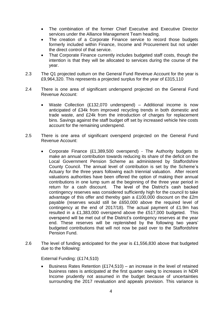- The combination of the former Chief Executive and Executive Director services under the Alliance Management Team heading.
- The creation of a Corporate Finance service to record those budgets formerly included within Finance, Income and Procurement but not under the direct control of that service.
- That Corporate Finance currently includes budgeted staff costs, though the intention is that they will be allocated to services during the course of the year.
- 2.3 The Q1 projected outturn on the General Fund Revenue Account for the year is £9,964,320. This represents a projected surplus for the year of £315,110
- 2.4 There is one area of significant underspend projected on the General Fund Revenue Account:
	- Waste Collection (£132,070 underspend) Additional income is now anticipated of £34k from improved recycling trends in both domestic and trade waste, and £24k from the introduction of charges for replacement bins. Savings against the staff budget off set by increased vehicle hire costs account for the remaining underspend.
- 2.5 There is one area of significant overspend projected on the General Fund Revenue Account:
	- Corporate Finance (£1,389,500 overspend) The Authority budgets to make an annual contribution towards reducing its share of the deficit on the Local Government Pension Scheme as administered by Staffordshire County Council. The annual level of contribution is set by the Scheme's Actuary for the three years following each triennial valuation. After recent valuations authorities have been offered the option of making their annual contributions in one lump sum at the beginning of the three year period in return for a cash discount. The level of the District's cash backed contingency reserves was considered sufficiently high for the council to take advantage of this offer and thereby gain a £100,000 discount on the £2m payable (reserves would still be £650,000 above the required level of contingency at the end of 2017/18). The actual payment of £1.9m has resulted in a £1,383,000 overspend above the £517,000 budgeted. This overspend will be met out of the District's contingency reserves at the year end. These reserves will be replenished by the following two years' budgeted contributions that will not now be paid over to the Staffordshire Pension Fund.
- 2.6 The level of funding anticipated for the year is £1,556,830 above that budgeted due to the following:

External Funding: (£174,510)

Business Rates Retention (£174,510) – an increase in the level of retained business rates is anticipated at the first quarter owing to increases in NDR Income prudently not assumed in the budget because of uncertainties surrounding the 2017 revaluation and appeals provision. This variance is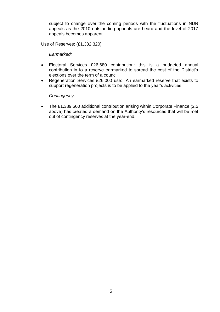subject to change over the coming periods with the fluctuations in NDR appeals as the 2010 outstanding appeals are heard and the level of 2017 appeals becomes apparent.

Use of Reserves: (£1,382,320)

*Earmarked;*

- Electoral Services £26,680 contribution: this is a budgeted annual contribution in to a reserve earmarked to spread the cost of the District's elections over the term of a council.
- Regeneration Services £26,000 use: An earmarked reserve that exists to support regeneration projects is to be applied to the year's activities.

 *Contingency;*

 The £1,389,500 additional contribution arising within Corporate Finance (2.5 above) has created a demand on the Authority's resources that will be met out of contingency reserves at the year-end.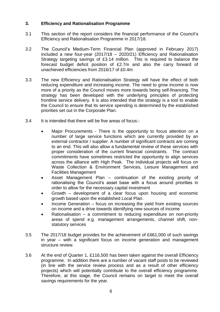# **3. Efficiency and Rationalisation Programme**

- 3.1 This section of the report considers the financial performance of the Council's Efficiency and Rationalisation Programme in 2017/18.
- 3.2 The Council's Medium-Term Financial Plan (approved in February 2017) included a new four-year (2017/18 – 2020/21) Efficiency and Rationalisation Strategy targeting savings of £3.14 million. This is required to balance the forecast budget deficit position of £2.7m and also the carry forward of unachieved efficiencies from 2016/17 of £0.4m
- 3.3 The new Efficiency and Rationalisation Strategy will have the effect of both reducing expenditure and increasing income. The need to grow income is now more of a priority as the Council moves more towards being self-financing. The strategy has been developed with the underlying principles of protecting frontline service delivery. It is also intended that the strategy is a tool to enable the Council to ensure that its service spending is determined by the established priorities set out in the Corporate Plan.
- 3.4 It is intended that there will be five areas of focus:-
	- Major Procurements There is the opportunity to focus attention on a number of large service functions which are currently provided by an external contractor / supplier. A number of significant contracts are coming to an end. This will also allow a fundamental review of these services with proper consideration of the current financial constraints. The contract commitments have sometimes restricted the opportunity to align services across the alliance with High Peak. The individual projects will focus on Waste Collection & Environment Services, Leisure Management and Facilities Management
	- Asset Management Plan continuation of the existing priority of rationalising the Council's asset base with a focus around priorities in order to allow for the necessary capital investment
	- Growth development of a clear focus upon housing and economic growth based upon the established Local Plan.
	- Income Generation focus on increasing the yield from existing sources on income and a drive towards identifying new sources of income
	- Rationalisation a commitment to reducing expenditure on non-priority areas of spend e.g. management arrangements, channel shift, nonstatutory services
- 3.5 The 2017/18 budget provides for the achievement of £661,000 of such savings in year – with a significant focus on income generation and management structure review.
- 3.6 At the end of Quarter 1, £116,500 has been taken against the overall Efficiency programme. In addition there are a number of vacant staff posts to be reviewed (in line with the service review process and as a result of other efficiency projects) which will potentially contribute to the overall efficiency programme. Therefore, at this stage, the Council remains on target to meet the overall savings requirements for the year.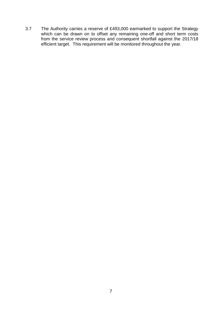3.7 The Authority carries a reserve of £493,000 earmarked to support the Strategy which can be drawn on to offset any remaining one-off and short term costs from the service review process and consequent shortfall against the 2017/18 efficient target. This requirement will be monitored throughout the year.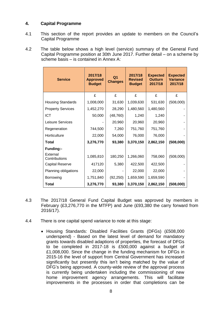# **4. Capital Programme**

- 4.1 This section of the report provides an update to members on the Council's Capital Programme
- 4.2 The table below shows a high level (service) summary of the General Fund Capital Programme position at 30th June 2017. Further detail – on a scheme by scheme basis – is contained in Annex A:

| <b>Service</b>            | 2017/18<br><b>Approved</b><br><b>Budget</b> | Q <sub>1</sub><br><b>Changes</b> | 2017/18<br><b>Revised</b><br><b>Budget</b> | <b>Expected</b><br><b>Outturn</b><br>2017/18 | <b>Expected</b><br><b>Variance</b><br>2017/18 |
|---------------------------|---------------------------------------------|----------------------------------|--------------------------------------------|----------------------------------------------|-----------------------------------------------|
|                           | £                                           | £                                | £                                          | £                                            | £                                             |
| <b>Housing Standards</b>  | 1,008,000                                   | 31,630                           | 1,039,630                                  | 531,630                                      | (508,000)                                     |
| <b>Property Services</b>  | 1,452,270                                   | 28,290                           | 1,480,560                                  | 1,480,560                                    |                                               |
| <b>ICT</b>                | 50,000                                      | (48, 760)                        | 1,240                                      | 1,240                                        |                                               |
| <b>Leisure Services</b>   |                                             | 20,960                           | 20,960                                     | 20,960                                       |                                               |
| Regeneration              | 744,500                                     | 7,260                            | 751,760                                    | 751,760                                      |                                               |
| Horticulture              | 22,000                                      | 54,000                           | 76,000                                     | 76,000                                       |                                               |
| Total                     | 3,276,770                                   | 93,380                           | 3,370,150                                  | 2,862,150                                    | (508,000)                                     |
| Funding:-                 |                                             |                                  |                                            |                                              |                                               |
| External<br>Contributions | 1,085,810                                   | 180,250                          | 1,266,060                                  | 758,060                                      | (508,000)                                     |
| <b>Capital Reserve</b>    | 417120                                      | 5,380                            | 422,500                                    | 422,500                                      |                                               |
| Planning obligations      | 22,000                                      |                                  | 22,000                                     | 22,000                                       |                                               |
| Borrowing                 | 1,751,840                                   | (92, 250)                        | 1,659,590                                  | 1,659,590                                    |                                               |
| Total                     | 3,276,770                                   | 93,380                           | 3,370,150                                  | 2,862,150                                    | (508,000)                                     |

- 4.3 The 2017/18 General Fund Capital Budget was approved by members in February (£3,276,770 in the MTFP) and June (£93,380 the carry forward from 2016/17).
- 4.4 There is one capital spend variance to note at this stage:
	- Housing Standards: Disabled Facilities Grants (DFGs) (£508,000 underspend) - Based on the latest level of demand for mandatory grants towards disabled adaptions of properties, the forecast of DFGs to be completed in 2017-18 is £500,000 against a budget of £1,008,000. Since the change in the funding mechanism for DFGs in 2015-16 the level of support from Central Government has increased significantly but presently this isn't being matched by the value of DFG's being approved. A county-wide review of the approval process is currently being undertaken including the commissioning of new home improvement agency arrangements. This will facilitate improvements in the processes in order that completions can be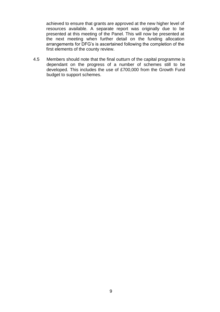achieved to ensure that grants are approved at the new higher level of resources available. A separate report was originally due to be presented at this meeting of the Panel. This will now be presented at the next meeting when further detail on the funding allocation arrangements for DFG's is ascertained following the completion of the first elements of the county review.

4.5 Members should note that the final outturn of the capital programme is dependant on the progress of a number of schemes still to be developed. This includes the use of £700,000 from the Growth Fund budget to support schemes.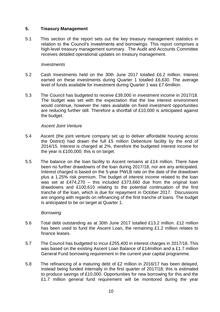### **5. Treasury Management**

5.1 This section of the report sets out the key treasury management statistics in relation to the Council's investments and borrowings. This report comprises a high-level treasury management summary. The Audit and Accounts Committee receives detailed operational updates on treasury management.

#### *Investments*

- 5.2 Cash Investments held on the 30th June 2017 totalled £6.2 million. Interest earned on these investments during Quarter 1 totalled £6,630. The average level of funds available for investment during Quarter 1 was £7.6million.
- 5.3 The Council has budgeted to receive £39,000 in investment income in 2017/18. The budget was set with the expectation that the low interest environment would continue, however the rates available on fixed investment opportunities are reducing further still. Therefore a shortfall of £10,000 is anticipated against the budget.

#### *Ascent Joint Venture*

- 5.4 Ascent (the joint venture company set up to deliver affordable housing across the District) had drawn the full £5 million Debenture facility by the end of 2014/15. Interest is charged at 2%, therefore the budgeted interest income for the year is £100,000; this is on target.
- 5.5 The balance on the loan facility to Ascent remains at £14 million. There have been no further drawdowns of the loan during 2017/18, nor are any anticipated. Interest charged is based on the 5-year PWLB rate on the date of the drawdown plus a 1.25% risk premium. The budget of interest income related to the loan was set at £474,270 – this included £373,660 due from the original loan drawdowns and £100,610 relating to the potential continuation of the first tranche of the loan, which is due for repayment in October 2017. Discussions are ongoing with regards on refinancing of the first tranche of loans. The budget is anticipated to be on target at Quarter 1.

#### *Borrowing*

- 5.6 Total debt outstanding as at 30th June 2017 totalled £13.2 million. £12 million has been used to fund the Ascent Loan, the remaining £1.2 million relates to finance leases.
- 5.7 The Council has budgeted to incur £255,400 in interest charges in 2017/18. This was based on the existing Ascent Loan Balance of £14million and a £1.7 million General Fund borrowing requirement in the current year capital programme.
- 5.8 The refinancing of a maturing debt of £2 million in 2016/17 has been delayed, instead being funded internally in the first quarter of 2017/18; this is estimated to produce savings of £10,000. Opportunities for new borrowing for this and the £1.7 million general fund requirement will be monitored during the year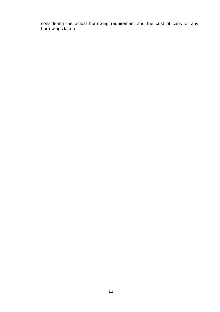considering the actual borrowing requirement and the cost of carry of any borrowings taken.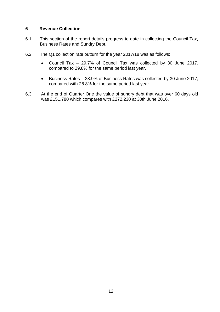# **6 Revenue Collection**

- 6.1 This section of the report details progress to date in collecting the Council Tax, Business Rates and Sundry Debt.
- 6.2 The Q1 collection rate outturn for the year 2017/18 was as follows:
	- Council Tax 29.7% of Council Tax was collected by 30 June 2017, compared to 29.8% for the same period last year.
	- Business Rates 28.9% of Business Rates was collected by 30 June 2017, compared with 28.8% for the same period last year.
- 6.3 At the end of Quarter One the value of sundry debt that was over 60 days old was £151,780 which compares with £272,230 at 30th June 2016.